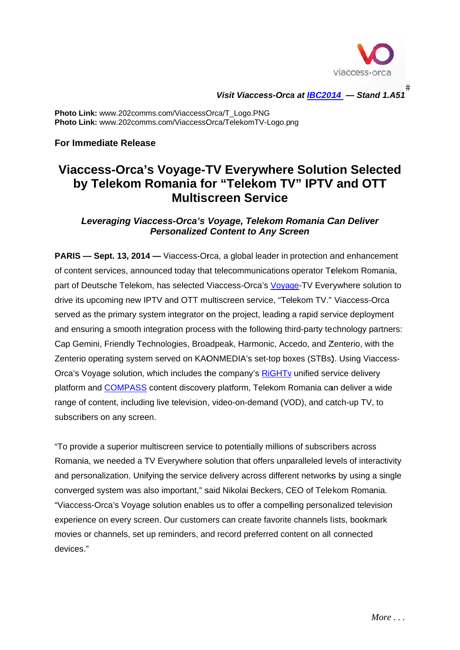

#<br>Visit Viaccess-Orca at <u>IBC2014</u> — Stand 1.A51

Photo Link: www.202comms.com/ViaccessOrca/T\_Logo.PNG Photo Link: www.202comms.com/ViaccessOrca/TelekomTV-Logo.png

**For Immediate Release** 

# Viaccess-Orca's Voyage-TV Everywhere Solution Selected by Telekom Romania for "Telekom TV" IPTV and OTT **Multiscreen Service**

Leveraging Viaccess-Orca's Voyage, Telekom Romania Can Deliver **Personalized Content to Any Screen** 

**PARIS** — Sept. 13, 2014 — Viaccess-Orca, a global leader in protection and enhancement of content services, announced today that telecommunications operator Telekom Romania, part of Deutsche Telekom, has selected Viaccess-Orca's Voyage-TV Everywhere solution to drive its upcoming new IPTV and OTT multiscreen service, "Telekom TV." Viaccess-Orca served as the primary system integrator on the project, leading a rapid service deployment and ensuring a smooth integration process with the following third-party technology partners: Cap Gemini, Friendly Technologies, Broadpeak, Harmonic, Accedo, and Zenterio, with the Zenterio operating system served on KAONMEDIA's set-top boxes (STBs). Using Viaccess-Orca's Voyage solution, which includes the company's RiGHTv unified service delivery platform and COMPASS content discovery platform, Telekom Romania can deliver a wide range of content, including live television, video-on-demand (VOD), and catch-up TV, to subscribers on any screen.

"To provide a superior multiscreen service to potentially millions of subscribers across Romania, we needed a TV Everywhere solution that offers unparalleled levels of interactivity and personalization. Unifying the service delivery across different networks by using a single converged system was also important," said Nikolai Beckers, CEO of Telekom Romania. "Viaccess-Orca's Voyage solution enables us to offer a compelling personalized television experience on every screen. Our customers can create favorite channels lists, bookmark movies or channels, set up reminders, and record preferred content on all connected devices "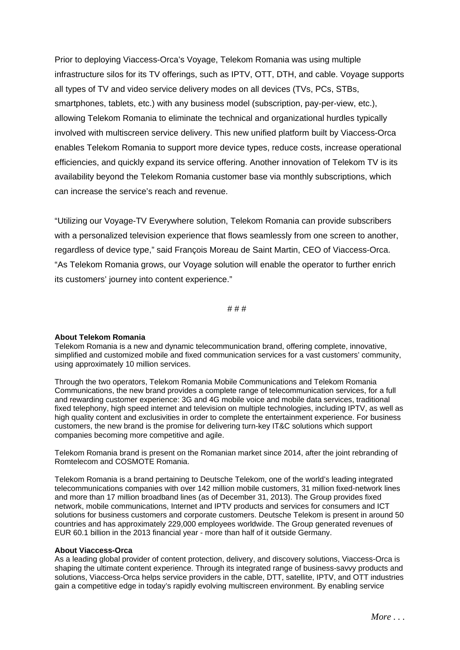Prior to deploying Viaccess-Orca's Voyage, Telekom Romania was using multiple infrastructure silos for its TV offerings, such as IPTV, OTT, DTH, and cable. Voyage supports all types of TV and video service delivery modes on all devices (TVs, PCs, STBs, smartphones, tablets, etc.) with any business model (subscription, pay-per-view, etc.), allowing Telekom Romania to eliminate the technical and organizational hurdles typically involved with multiscreen service delivery. This new unified platform built by Viaccess-Orca enables Telekom Romania to support more device types, reduce costs, increase operational efficiencies, and quickly expand its service offering. Another innovation of Telekom TV is its availability beyond the Telekom Romania customer base via monthly subscriptions, which can increase the service's reach and revenue.

"Utilizing our Voyage-TV Everywhere solution, Telekom Romania can provide subscribers with a personalized television experience that flows seamlessly from one screen to another, regardless of device type," said François Moreau de Saint Martin, CEO of Viaccess-Orca. "As Telekom Romania grows, our Voyage solution will enable the operator to further enrich its customers' journey into content experience."

# # #

#### **About Telekom Romania**

Telekom Romania is a new and dynamic telecommunication brand, offering complete, innovative, simplified and customized mobile and fixed communication services for a vast customers' community, using approximately 10 million services.

Through the two operators, Telekom Romania Mobile Communications and Telekom Romania Communications, the new brand provides a complete range of telecommunication services, for a full and rewarding customer experience: 3G and 4G mobile voice and mobile data services, traditional fixed telephony, high speed internet and television on multiple technologies, including IPTV, as well as high quality content and exclusivities in order to complete the entertainment experience. For business customers, the new brand is the promise for delivering turn-key IT&C solutions which support companies becoming more competitive and agile.

Telekom Romania brand is present on the Romanian market since 2014, after the joint rebranding of Romtelecom and COSMOTE Romania.

Telekom Romania is a brand pertaining to Deutsche Telekom, one of the world's leading integrated telecommunications companies with over 142 million mobile customers, 31 million fixed-network lines and more than 17 million broadband lines (as of December 31, 2013). The Group provides fixed network, mobile communications, Internet and IPTV products and services for consumers and ICT solutions for business customers and corporate customers. Deutsche Telekom is present in around 50 countries and has approximately 229,000 employees worldwide. The Group generated revenues of EUR 60.1 billion in the 2013 financial year - more than half of it outside Germany.

#### **About Viaccess-Orca**

As a leading global provider of content protection, delivery, and discovery solutions, Viaccess-Orca is shaping the ultimate content experience. Through its integrated range of business-savvy products and solutions, Viaccess-Orca helps service providers in the cable, DTT, satellite, IPTV, and OTT industries gain a competitive edge in today's rapidly evolving multiscreen environment. By enabling service